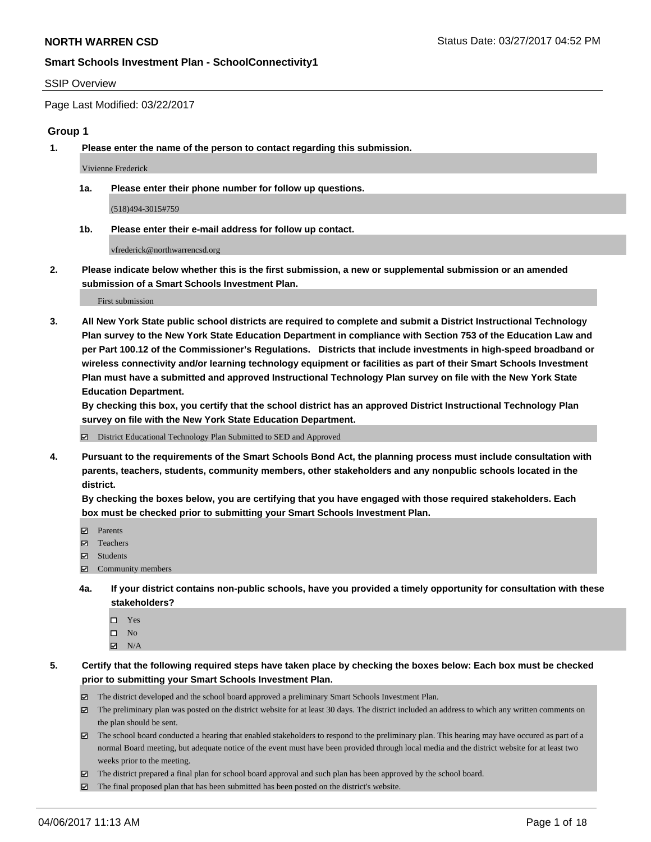#### SSIP Overview

Page Last Modified: 03/22/2017

## **Group 1**

**1. Please enter the name of the person to contact regarding this submission.**

Vivienne Frederick

**1a. Please enter their phone number for follow up questions.**

(518)494-3015#759

**1b. Please enter their e-mail address for follow up contact.**

vfrederick@northwarrencsd.org

**2. Please indicate below whether this is the first submission, a new or supplemental submission or an amended submission of a Smart Schools Investment Plan.**

First submission

**3. All New York State public school districts are required to complete and submit a District Instructional Technology Plan survey to the New York State Education Department in compliance with Section 753 of the Education Law and per Part 100.12 of the Commissioner's Regulations. Districts that include investments in high-speed broadband or wireless connectivity and/or learning technology equipment or facilities as part of their Smart Schools Investment Plan must have a submitted and approved Instructional Technology Plan survey on file with the New York State Education Department.** 

**By checking this box, you certify that the school district has an approved District Instructional Technology Plan survey on file with the New York State Education Department.**

District Educational Technology Plan Submitted to SED and Approved

**4. Pursuant to the requirements of the Smart Schools Bond Act, the planning process must include consultation with parents, teachers, students, community members, other stakeholders and any nonpublic schools located in the district.** 

**By checking the boxes below, you are certifying that you have engaged with those required stakeholders. Each box must be checked prior to submitting your Smart Schools Investment Plan.**

- **マ** Parents
- □ Teachers
- Students
- $\Xi$  Community members
- **4a. If your district contains non-public schools, have you provided a timely opportunity for consultation with these stakeholders?**
	- Yes
	- $\hfill \square$  No
	- $\boxtimes$  N/A
- **5. Certify that the following required steps have taken place by checking the boxes below: Each box must be checked prior to submitting your Smart Schools Investment Plan.**
	- The district developed and the school board approved a preliminary Smart Schools Investment Plan.
	- $\boxtimes$  The preliminary plan was posted on the district website for at least 30 days. The district included an address to which any written comments on the plan should be sent.
	- $\boxtimes$  The school board conducted a hearing that enabled stakeholders to respond to the preliminary plan. This hearing may have occured as part of a normal Board meeting, but adequate notice of the event must have been provided through local media and the district website for at least two weeks prior to the meeting.
	- The district prepared a final plan for school board approval and such plan has been approved by the school board.
	- $\boxtimes$  The final proposed plan that has been submitted has been posted on the district's website.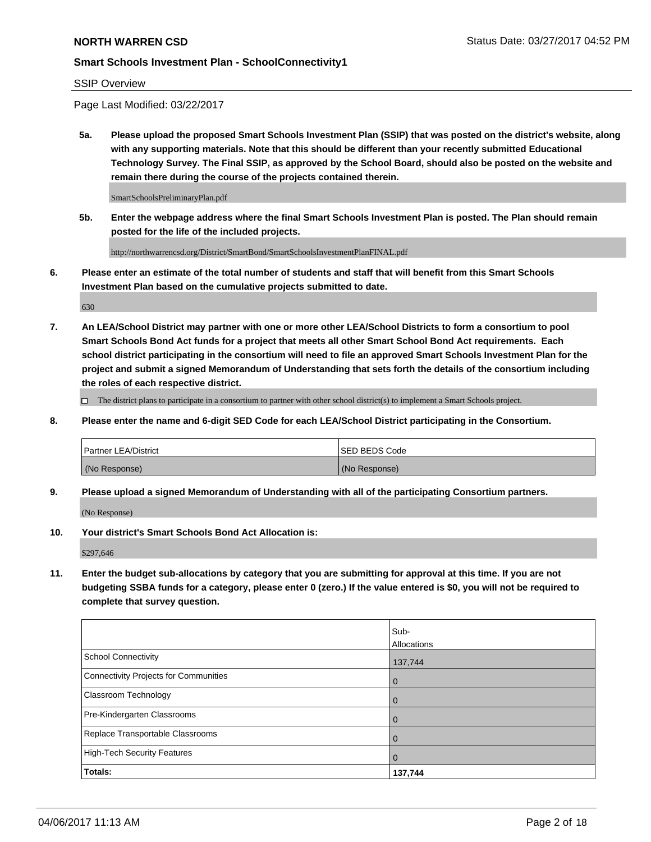## SSIP Overview

Page Last Modified: 03/22/2017

**5a. Please upload the proposed Smart Schools Investment Plan (SSIP) that was posted on the district's website, along with any supporting materials. Note that this should be different than your recently submitted Educational Technology Survey. The Final SSIP, as approved by the School Board, should also be posted on the website and remain there during the course of the projects contained therein.**

SmartSchoolsPreliminaryPlan.pdf

**5b. Enter the webpage address where the final Smart Schools Investment Plan is posted. The Plan should remain posted for the life of the included projects.**

http://northwarrencsd.org/District/SmartBond/SmartSchoolsInvestmentPlanFINAL.pdf

**6. Please enter an estimate of the total number of students and staff that will benefit from this Smart Schools Investment Plan based on the cumulative projects submitted to date.**

630

**7. An LEA/School District may partner with one or more other LEA/School Districts to form a consortium to pool Smart Schools Bond Act funds for a project that meets all other Smart School Bond Act requirements. Each school district participating in the consortium will need to file an approved Smart Schools Investment Plan for the project and submit a signed Memorandum of Understanding that sets forth the details of the consortium including the roles of each respective district.**

 $\Box$  The district plans to participate in a consortium to partner with other school district(s) to implement a Smart Schools project.

**8. Please enter the name and 6-digit SED Code for each LEA/School District participating in the Consortium.**

| <b>Partner LEA/District</b> | <b>ISED BEDS Code</b> |
|-----------------------------|-----------------------|
| (No Response)               | (No Response)         |

**9. Please upload a signed Memorandum of Understanding with all of the participating Consortium partners.**

(No Response)

**10. Your district's Smart Schools Bond Act Allocation is:**

\$297,646

**11. Enter the budget sub-allocations by category that you are submitting for approval at this time. If you are not budgeting SSBA funds for a category, please enter 0 (zero.) If the value entered is \$0, you will not be required to complete that survey question.**

|                                              | Sub-<br>Allocations |
|----------------------------------------------|---------------------|
|                                              |                     |
| <b>School Connectivity</b>                   | 137,744             |
| <b>Connectivity Projects for Communities</b> | $\overline{0}$      |
| Classroom Technology                         | 0                   |
| Pre-Kindergarten Classrooms                  | $\Omega$            |
| Replace Transportable Classrooms             | 0                   |
| <b>High-Tech Security Features</b>           | 0                   |
| Totals:                                      | 137,744             |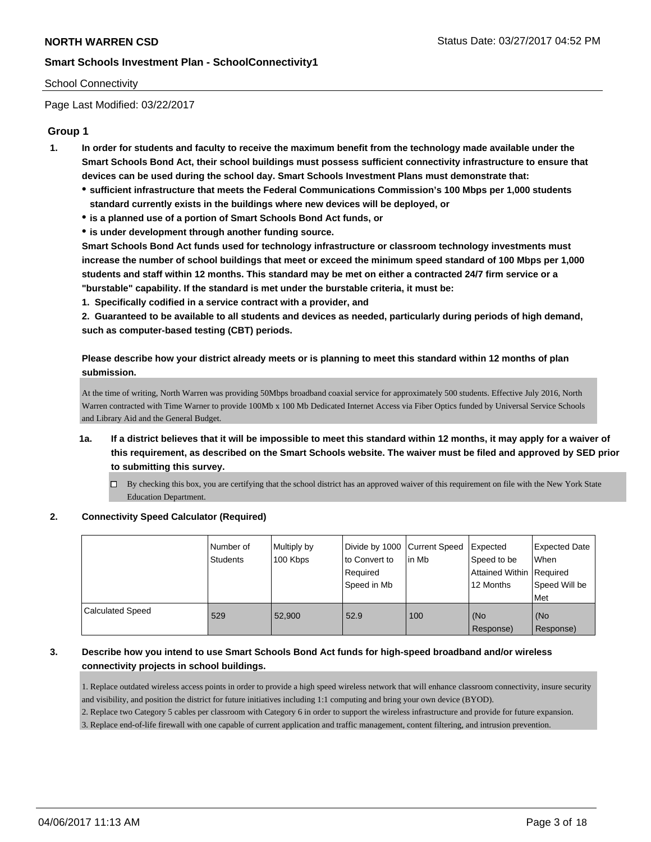## School Connectivity

Page Last Modified: 03/22/2017

# **Group 1**

- **1. In order for students and faculty to receive the maximum benefit from the technology made available under the Smart Schools Bond Act, their school buildings must possess sufficient connectivity infrastructure to ensure that devices can be used during the school day. Smart Schools Investment Plans must demonstrate that:**
	- **sufficient infrastructure that meets the Federal Communications Commission's 100 Mbps per 1,000 students standard currently exists in the buildings where new devices will be deployed, or**
	- **is a planned use of a portion of Smart Schools Bond Act funds, or**
	- **is under development through another funding source.**

**Smart Schools Bond Act funds used for technology infrastructure or classroom technology investments must increase the number of school buildings that meet or exceed the minimum speed standard of 100 Mbps per 1,000 students and staff within 12 months. This standard may be met on either a contracted 24/7 firm service or a "burstable" capability. If the standard is met under the burstable criteria, it must be:**

**1. Specifically codified in a service contract with a provider, and**

**2. Guaranteed to be available to all students and devices as needed, particularly during periods of high demand, such as computer-based testing (CBT) periods.**

**Please describe how your district already meets or is planning to meet this standard within 12 months of plan submission.**

At the time of writing, North Warren was providing 50Mbps broadband coaxial service for approximately 500 students. Effective July 2016, North Warren contracted with Time Warner to provide 100Mb x 100 Mb Dedicated Internet Access via Fiber Optics funded by Universal Service Schools and Library Aid and the General Budget.

- **1a. If a district believes that it will be impossible to meet this standard within 12 months, it may apply for a waiver of this requirement, as described on the Smart Schools website. The waiver must be filed and approved by SED prior to submitting this survey.**
	- By checking this box, you are certifying that the school district has an approved waiver of this requirement on file with the New York State Education Department.

#### **2. Connectivity Speed Calculator (Required)**

|                         | Number of<br><b>Students</b> | Multiply by<br>100 Kbps | Divide by 1000   Current Speed<br>to Convert to<br>Required<br>Speed in Mb | lin Mb | Expected<br>Speed to be<br>Attained Within Required<br>12 Months | <b>Expected Date</b><br><b>When</b><br>Speed Will be<br>Met |
|-------------------------|------------------------------|-------------------------|----------------------------------------------------------------------------|--------|------------------------------------------------------------------|-------------------------------------------------------------|
| <b>Calculated Speed</b> | 529                          | 52,900                  | 52.9                                                                       | 100    | (No<br>Response)                                                 | (No<br>Response)                                            |

# **3. Describe how you intend to use Smart Schools Bond Act funds for high-speed broadband and/or wireless connectivity projects in school buildings.**

1. Replace outdated wireless access points in order to provide a high speed wireless network that will enhance classroom connectivity, insure security and visibility, and position the district for future initiatives including 1:1 computing and bring your own device (BYOD).

2. Replace two Category 5 cables per classroom with Category 6 in order to support the wireless infrastructure and provide for future expansion.

3. Replace end-of-life firewall with one capable of current application and traffic management, content filtering, and intrusion prevention.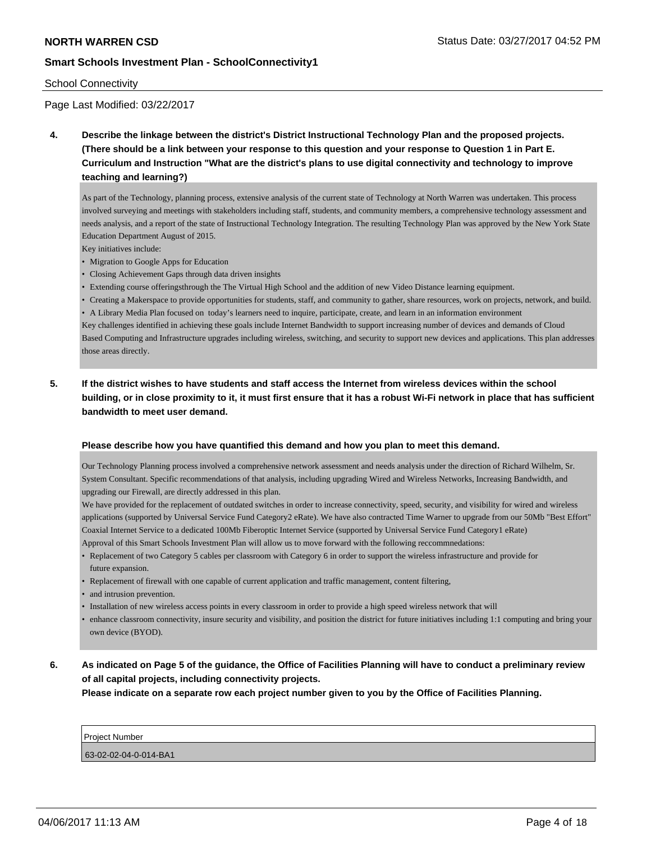#### School Connectivity

Page Last Modified: 03/22/2017

**4. Describe the linkage between the district's District Instructional Technology Plan and the proposed projects. (There should be a link between your response to this question and your response to Question 1 in Part E. Curriculum and Instruction "What are the district's plans to use digital connectivity and technology to improve teaching and learning?)**

As part of the Technology, planning process, extensive analysis of the current state of Technology at North Warren was undertaken. This process involved surveying and meetings with stakeholders including staff, students, and community members, a comprehensive technology assessment and needs analysis, and a report of the state of Instructional Technology Integration. The resulting Technology Plan was approved by the New York State Education Department August of 2015.

Key initiatives include:

- Migration to Google Apps for Education
- Closing Achievement Gaps through data driven insights
- Extending course offeringsthrough the The Virtual High School and the addition of new Video Distance learning equipment.
- Creating a Makerspace to provide opportunities for students, staff, and community to gather, share resources, work on projects, network, and build. • A Library Media Plan focused on today's learners need to inquire, participate, create, and learn in an information environment

Key challenges identified in achieving these goals include Internet Bandwidth to support increasing number of devices and demands of Cloud Based Computing and Infrastructure upgrades including wireless, switching, and security to support new devices and applications. This plan addresses those areas directly.

**5. If the district wishes to have students and staff access the Internet from wireless devices within the school building, or in close proximity to it, it must first ensure that it has a robust Wi-Fi network in place that has sufficient bandwidth to meet user demand.**

#### **Please describe how you have quantified this demand and how you plan to meet this demand.**

Our Technology Planning process involved a comprehensive network assessment and needs analysis under the direction of Richard Wilhelm, Sr. System Consultant. Specific recommendations of that analysis, including upgrading Wired and Wireless Networks, Increasing Bandwidth, and upgrading our Firewall, are directly addressed in this plan.

We have provided for the replacement of outdated switches in order to increase connectivity, speed, security, and visibility for wired and wireless applications (supported by Universal Service Fund Category2 eRate). We have also contracted Time Warner to upgrade from our 50Mb "Best Effort" Coaxial Internet Service to a dedicated 100Mb Fiberoptic Internet Service (supported by Universal Service Fund Category1 eRate) Approval of this Smart Schools Investment Plan will allow us to move forward with the following reccommnedations:

- Replacement of two Category 5 cables per classroom with Category 6 in order to support the wireless infrastructure and provide for future expansion.
- Replacement of firewall with one capable of current application and traffic management, content filtering,
- and intrusion prevention.
- Installation of new wireless access points in every classroom in order to provide a high speed wireless network that will
- enhance classroom connectivity, insure security and visibility, and position the district for future initiatives including 1:1 computing and bring your own device (BYOD).

# **6. As indicated on Page 5 of the guidance, the Office of Facilities Planning will have to conduct a preliminary review of all capital projects, including connectivity projects.**

**Please indicate on a separate row each project number given to you by the Office of Facilities Planning.**

| <b>Project Number</b> |  |
|-----------------------|--|
| 63-02-02-04-0-014-BA1 |  |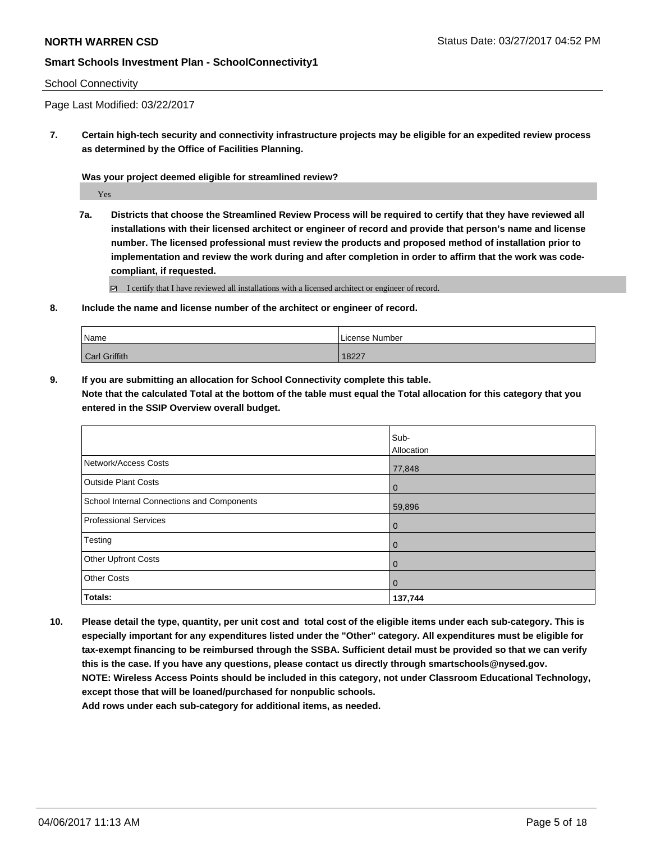#### School Connectivity

Page Last Modified: 03/22/2017

**7. Certain high-tech security and connectivity infrastructure projects may be eligible for an expedited review process as determined by the Office of Facilities Planning.**

**Was your project deemed eligible for streamlined review?**

Yes

**7a. Districts that choose the Streamlined Review Process will be required to certify that they have reviewed all installations with their licensed architect or engineer of record and provide that person's name and license number. The licensed professional must review the products and proposed method of installation prior to implementation and review the work during and after completion in order to affirm that the work was codecompliant, if requested.**

I certify that I have reviewed all installations with a licensed architect or engineer of record.

**8. Include the name and license number of the architect or engineer of record.**

| Name                 | License Number |
|----------------------|----------------|
| <b>Carl Griffith</b> | 18227          |

**9. If you are submitting an allocation for School Connectivity complete this table. Note that the calculated Total at the bottom of the table must equal the Total allocation for this category that you**

**entered in the SSIP Overview overall budget.** 

|                                            | Sub-       |
|--------------------------------------------|------------|
|                                            | Allocation |
| Network/Access Costs                       | 77,848     |
| <b>Outside Plant Costs</b>                 | l 0        |
| School Internal Connections and Components | 59,896     |
| Professional Services                      | l 0        |
| Testing                                    | l 0        |
| Other Upfront Costs                        | l 0        |
| <b>Other Costs</b>                         | l 0        |
| Totals:                                    | 137,744    |

**10. Please detail the type, quantity, per unit cost and total cost of the eligible items under each sub-category. This is especially important for any expenditures listed under the "Other" category. All expenditures must be eligible for tax-exempt financing to be reimbursed through the SSBA. Sufficient detail must be provided so that we can verify this is the case. If you have any questions, please contact us directly through smartschools@nysed.gov. NOTE: Wireless Access Points should be included in this category, not under Classroom Educational Technology, except those that will be loaned/purchased for nonpublic schools. Add rows under each sub-category for additional items, as needed.**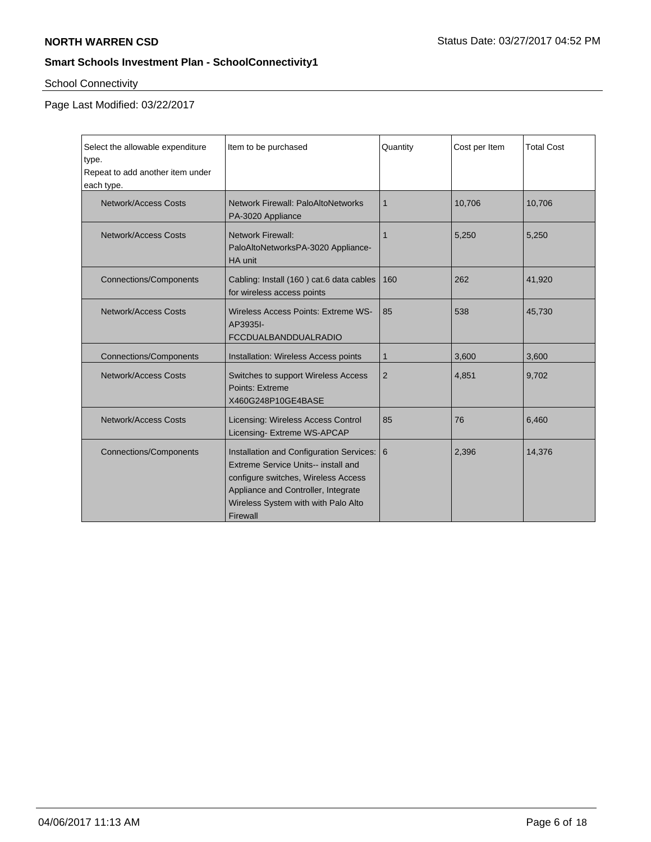# School Connectivity

Page Last Modified: 03/22/2017

| Select the allowable expenditure | Item to be purchased                                                                                                                                                                                               | Quantity       | Cost per Item | <b>Total Cost</b> |
|----------------------------------|--------------------------------------------------------------------------------------------------------------------------------------------------------------------------------------------------------------------|----------------|---------------|-------------------|
| type.                            |                                                                                                                                                                                                                    |                |               |                   |
| Repeat to add another item under |                                                                                                                                                                                                                    |                |               |                   |
| each type.                       |                                                                                                                                                                                                                    |                |               |                   |
| <b>Network/Access Costs</b>      | <b>Network Firewall: PaloAltoNetworks</b><br>PA-3020 Appliance                                                                                                                                                     | $\mathbf{1}$   | 10,706        | 10,706            |
| Network/Access Costs             | Network Firewall:<br>PaloAltoNetworksPA-3020 Appliance-<br>HA unit                                                                                                                                                 | 1              | 5,250         | 5,250             |
| <b>Connections/Components</b>    | Cabling: Install (160) cat.6 data cables<br>for wireless access points                                                                                                                                             | 160            | 262           | 41,920            |
| <b>Network/Access Costs</b>      | Wireless Access Points: Extreme WS-<br>AP3935I-<br><b>FCCDUALBANDDUALRADIO</b>                                                                                                                                     | 85             | 538           | 45,730            |
| <b>Connections/Components</b>    | Installation: Wireless Access points                                                                                                                                                                               | $\mathbf 1$    | 3,600         | 3,600             |
| <b>Network/Access Costs</b>      | Switches to support Wireless Access<br>Points: Extreme<br>X460G248P10GE4BASE                                                                                                                                       | $\overline{2}$ | 4,851         | 9,702             |
| <b>Network/Access Costs</b>      | Licensing: Wireless Access Control<br>Licensing- Extreme WS-APCAP                                                                                                                                                  | 85             | 76            | 6,460             |
| <b>Connections/Components</b>    | Installation and Configuration Services: 6<br>Extreme Service Units-- install and<br>configure switches, Wireless Access<br>Appliance and Controller, Integrate<br>Wireless System with with Palo Alto<br>Firewall |                | 2,396         | 14,376            |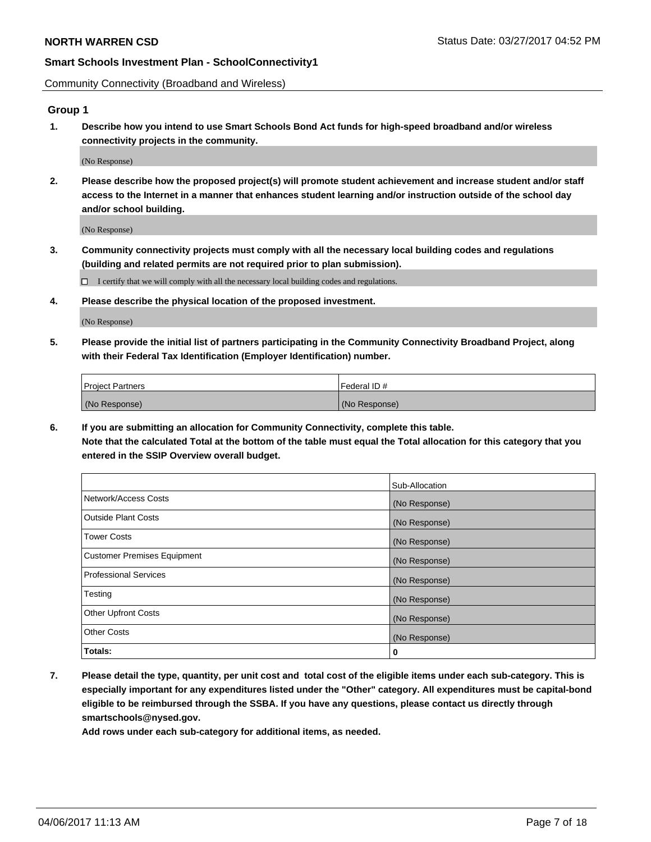Community Connectivity (Broadband and Wireless)

# **Group 1**

**1. Describe how you intend to use Smart Schools Bond Act funds for high-speed broadband and/or wireless connectivity projects in the community.**

(No Response)

**2. Please describe how the proposed project(s) will promote student achievement and increase student and/or staff access to the Internet in a manner that enhances student learning and/or instruction outside of the school day and/or school building.**

(No Response)

**3. Community connectivity projects must comply with all the necessary local building codes and regulations (building and related permits are not required prior to plan submission).**

 $\Box$  I certify that we will comply with all the necessary local building codes and regulations.

**4. Please describe the physical location of the proposed investment.**

(No Response)

**5. Please provide the initial list of partners participating in the Community Connectivity Broadband Project, along with their Federal Tax Identification (Employer Identification) number.**

| <b>Project Partners</b> | Federal ID#   |
|-------------------------|---------------|
| (No Response)           | (No Response) |

**6. If you are submitting an allocation for Community Connectivity, complete this table. Note that the calculated Total at the bottom of the table must equal the Total allocation for this category that you entered in the SSIP Overview overall budget.**

|                                    | Sub-Allocation |
|------------------------------------|----------------|
| Network/Access Costs               | (No Response)  |
| Outside Plant Costs                | (No Response)  |
| <b>Tower Costs</b>                 | (No Response)  |
| <b>Customer Premises Equipment</b> | (No Response)  |
| Professional Services              | (No Response)  |
| Testing                            | (No Response)  |
| <b>Other Upfront Costs</b>         | (No Response)  |
| <b>Other Costs</b>                 | (No Response)  |
| Totals:                            | 0              |

**7. Please detail the type, quantity, per unit cost and total cost of the eligible items under each sub-category. This is especially important for any expenditures listed under the "Other" category. All expenditures must be capital-bond eligible to be reimbursed through the SSBA. If you have any questions, please contact us directly through smartschools@nysed.gov.**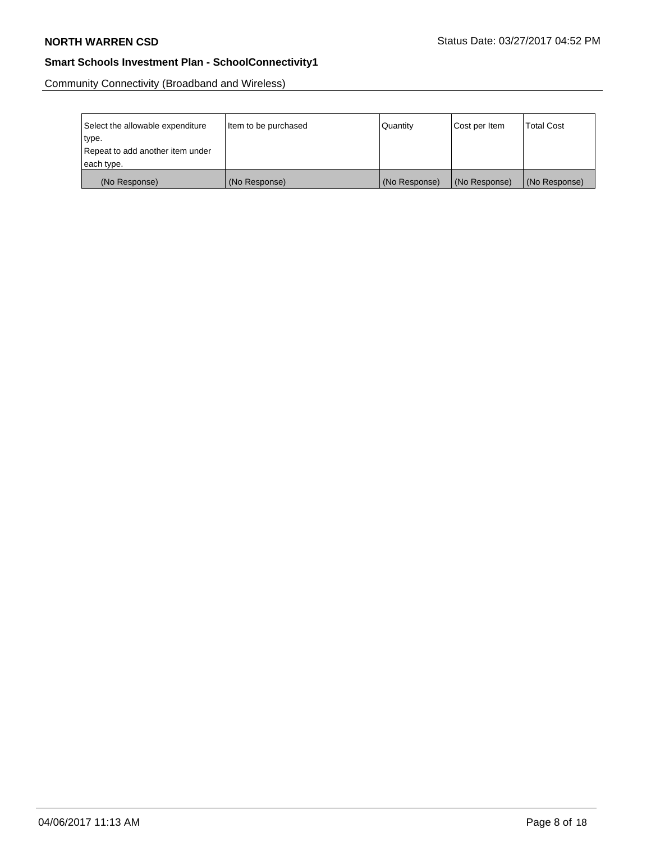Community Connectivity (Broadband and Wireless)

| Select the allowable expenditure | Item to be purchased | Quantity      | Cost per Item | <b>Total Cost</b> |
|----------------------------------|----------------------|---------------|---------------|-------------------|
| type.                            |                      |               |               |                   |
| Repeat to add another item under |                      |               |               |                   |
| each type.                       |                      |               |               |                   |
| (No Response)                    | (No Response)        | (No Response) | (No Response) | (No Response)     |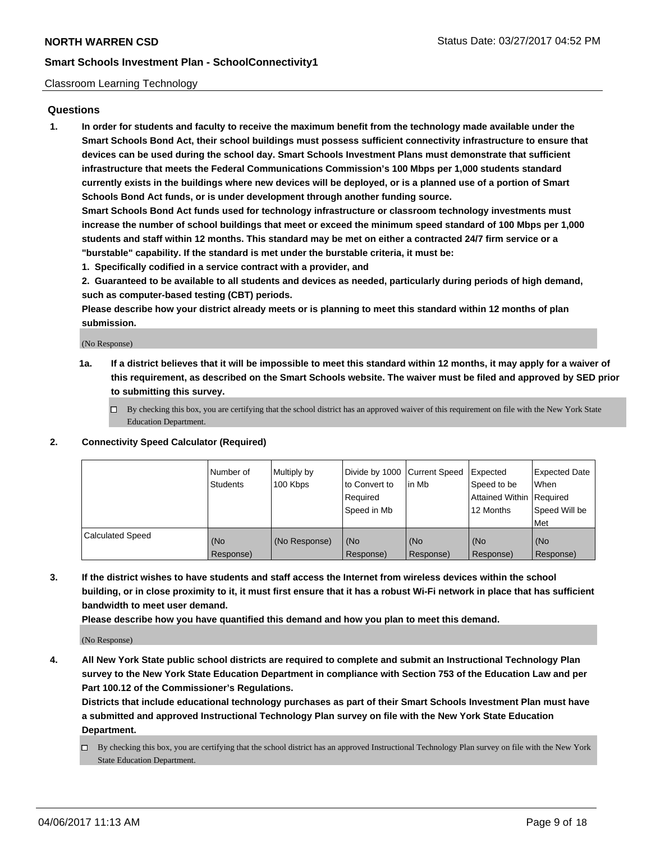#### Classroom Learning Technology

### **Questions**

**1. In order for students and faculty to receive the maximum benefit from the technology made available under the Smart Schools Bond Act, their school buildings must possess sufficient connectivity infrastructure to ensure that devices can be used during the school day. Smart Schools Investment Plans must demonstrate that sufficient infrastructure that meets the Federal Communications Commission's 100 Mbps per 1,000 students standard currently exists in the buildings where new devices will be deployed, or is a planned use of a portion of Smart Schools Bond Act funds, or is under development through another funding source.**

**Smart Schools Bond Act funds used for technology infrastructure or classroom technology investments must increase the number of school buildings that meet or exceed the minimum speed standard of 100 Mbps per 1,000 students and staff within 12 months. This standard may be met on either a contracted 24/7 firm service or a "burstable" capability. If the standard is met under the burstable criteria, it must be:**

**1. Specifically codified in a service contract with a provider, and**

**2. Guaranteed to be available to all students and devices as needed, particularly during periods of high demand, such as computer-based testing (CBT) periods.**

**Please describe how your district already meets or is planning to meet this standard within 12 months of plan submission.**

(No Response)

- **1a. If a district believes that it will be impossible to meet this standard within 12 months, it may apply for a waiver of this requirement, as described on the Smart Schools website. The waiver must be filed and approved by SED prior to submitting this survey.**
	- $\Box$  By checking this box, you are certifying that the school district has an approved waiver of this requirement on file with the New York State Education Department.

#### **2. Connectivity Speed Calculator (Required)**

|                         | Number of<br><b>Students</b> | Multiply by<br>100 Kbps | Divide by 1000 Current Speed<br>to Convert to<br>Required<br>Speed in Mb | l in Mb          | Expected<br>Speed to be<br>Attained Within   Required<br>12 Months | <b>Expected Date</b><br><b>When</b><br>Speed Will be<br>Met |
|-------------------------|------------------------------|-------------------------|--------------------------------------------------------------------------|------------------|--------------------------------------------------------------------|-------------------------------------------------------------|
| <b>Calculated Speed</b> | (No<br>Response)             | (No Response)           | (No<br>Response)                                                         | (No<br>Response) | (No<br>Response)                                                   | (No<br>Response)                                            |

**3. If the district wishes to have students and staff access the Internet from wireless devices within the school building, or in close proximity to it, it must first ensure that it has a robust Wi-Fi network in place that has sufficient bandwidth to meet user demand.**

**Please describe how you have quantified this demand and how you plan to meet this demand.**

(No Response)

**4. All New York State public school districts are required to complete and submit an Instructional Technology Plan survey to the New York State Education Department in compliance with Section 753 of the Education Law and per Part 100.12 of the Commissioner's Regulations.**

**Districts that include educational technology purchases as part of their Smart Schools Investment Plan must have a submitted and approved Instructional Technology Plan survey on file with the New York State Education Department.**

By checking this box, you are certifying that the school district has an approved Instructional Technology Plan survey on file with the New York State Education Department.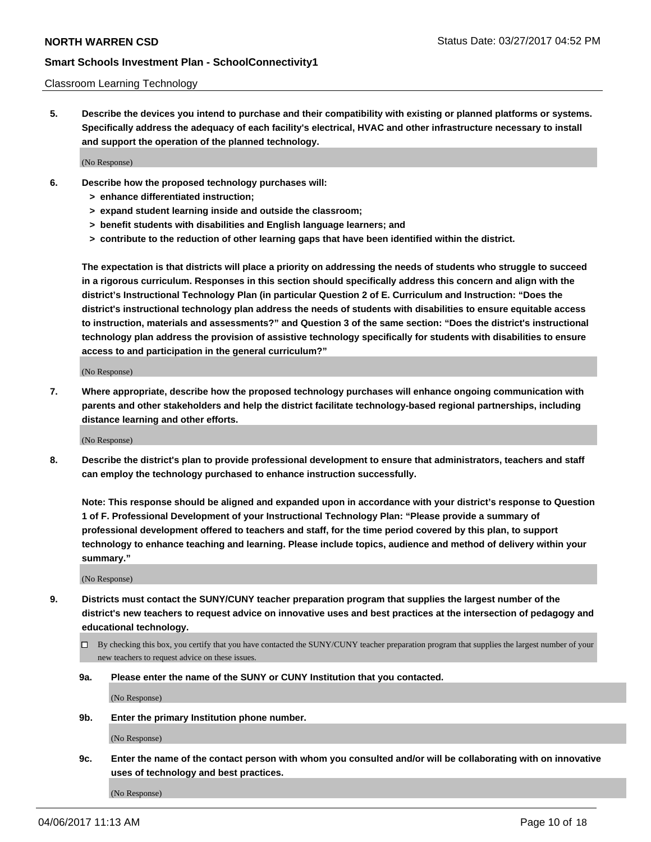#### Classroom Learning Technology

**5. Describe the devices you intend to purchase and their compatibility with existing or planned platforms or systems. Specifically address the adequacy of each facility's electrical, HVAC and other infrastructure necessary to install and support the operation of the planned technology.**

(No Response)

- **6. Describe how the proposed technology purchases will:**
	- **> enhance differentiated instruction;**
	- **> expand student learning inside and outside the classroom;**
	- **> benefit students with disabilities and English language learners; and**
	- **> contribute to the reduction of other learning gaps that have been identified within the district.**

**The expectation is that districts will place a priority on addressing the needs of students who struggle to succeed in a rigorous curriculum. Responses in this section should specifically address this concern and align with the district's Instructional Technology Plan (in particular Question 2 of E. Curriculum and Instruction: "Does the district's instructional technology plan address the needs of students with disabilities to ensure equitable access to instruction, materials and assessments?" and Question 3 of the same section: "Does the district's instructional technology plan address the provision of assistive technology specifically for students with disabilities to ensure access to and participation in the general curriculum?"**

(No Response)

**7. Where appropriate, describe how the proposed technology purchases will enhance ongoing communication with parents and other stakeholders and help the district facilitate technology-based regional partnerships, including distance learning and other efforts.**

(No Response)

**8. Describe the district's plan to provide professional development to ensure that administrators, teachers and staff can employ the technology purchased to enhance instruction successfully.**

**Note: This response should be aligned and expanded upon in accordance with your district's response to Question 1 of F. Professional Development of your Instructional Technology Plan: "Please provide a summary of professional development offered to teachers and staff, for the time period covered by this plan, to support technology to enhance teaching and learning. Please include topics, audience and method of delivery within your summary."**

(No Response)

- **9. Districts must contact the SUNY/CUNY teacher preparation program that supplies the largest number of the district's new teachers to request advice on innovative uses and best practices at the intersection of pedagogy and educational technology.**
	- By checking this box, you certify that you have contacted the SUNY/CUNY teacher preparation program that supplies the largest number of your new teachers to request advice on these issues.
	- **9a. Please enter the name of the SUNY or CUNY Institution that you contacted.**

(No Response)

**9b. Enter the primary Institution phone number.**

(No Response)

**9c. Enter the name of the contact person with whom you consulted and/or will be collaborating with on innovative uses of technology and best practices.**

(No Response)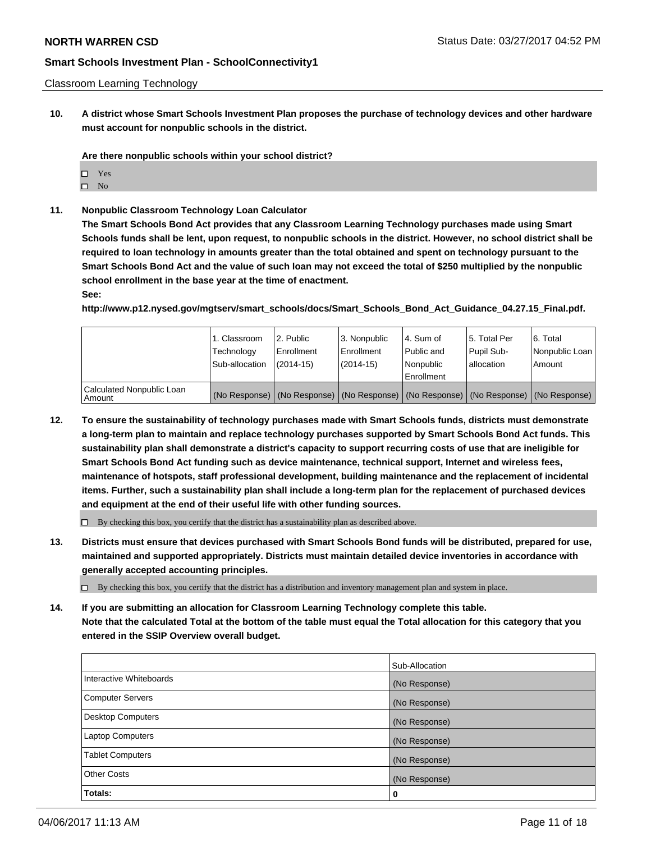Classroom Learning Technology

**10. A district whose Smart Schools Investment Plan proposes the purchase of technology devices and other hardware must account for nonpublic schools in the district.**

**Are there nonpublic schools within your school district?**

- □ Yes
- $\square$  No
- **11. Nonpublic Classroom Technology Loan Calculator**

**The Smart Schools Bond Act provides that any Classroom Learning Technology purchases made using Smart Schools funds shall be lent, upon request, to nonpublic schools in the district. However, no school district shall be required to loan technology in amounts greater than the total obtained and spent on technology pursuant to the Smart Schools Bond Act and the value of such loan may not exceed the total of \$250 multiplied by the nonpublic school enrollment in the base year at the time of enactment.**

#### **See:**

**http://www.p12.nysed.gov/mgtserv/smart\_schools/docs/Smart\_Schools\_Bond\_Act\_Guidance\_04.27.15\_Final.pdf.**

|                                     | 1. Classroom<br>Technology<br>Sub-allocation | l 2. Public<br>Enrollment<br>$(2014 - 15)$ | 3. Nonpublic<br>Enrollment<br>(2014-15) | l 4. Sum of<br>Public and<br>l Nonpublic<br>Enrollment                                        | 15. Total Per<br>Pupil Sub-<br>l allocation | l 6. Total<br>Nonpublic Loan<br>Amount |
|-------------------------------------|----------------------------------------------|--------------------------------------------|-----------------------------------------|-----------------------------------------------------------------------------------------------|---------------------------------------------|----------------------------------------|
| Calculated Nonpublic Loan<br>Amount |                                              |                                            |                                         | (No Response)   (No Response)   (No Response)   (No Response)   (No Response)   (No Response) |                                             |                                        |

**12. To ensure the sustainability of technology purchases made with Smart Schools funds, districts must demonstrate a long-term plan to maintain and replace technology purchases supported by Smart Schools Bond Act funds. This sustainability plan shall demonstrate a district's capacity to support recurring costs of use that are ineligible for Smart Schools Bond Act funding such as device maintenance, technical support, Internet and wireless fees, maintenance of hotspots, staff professional development, building maintenance and the replacement of incidental items. Further, such a sustainability plan shall include a long-term plan for the replacement of purchased devices and equipment at the end of their useful life with other funding sources.**

 $\Box$  By checking this box, you certify that the district has a sustainability plan as described above.

**13. Districts must ensure that devices purchased with Smart Schools Bond funds will be distributed, prepared for use, maintained and supported appropriately. Districts must maintain detailed device inventories in accordance with generally accepted accounting principles.**

By checking this box, you certify that the district has a distribution and inventory management plan and system in place.

**14. If you are submitting an allocation for Classroom Learning Technology complete this table. Note that the calculated Total at the bottom of the table must equal the Total allocation for this category that you entered in the SSIP Overview overall budget.**

|                          | Sub-Allocation |
|--------------------------|----------------|
| Interactive Whiteboards  | (No Response)  |
| <b>Computer Servers</b>  | (No Response)  |
| <b>Desktop Computers</b> | (No Response)  |
| <b>Laptop Computers</b>  | (No Response)  |
| <b>Tablet Computers</b>  | (No Response)  |
| Other Costs              | (No Response)  |
| Totals:                  | 0              |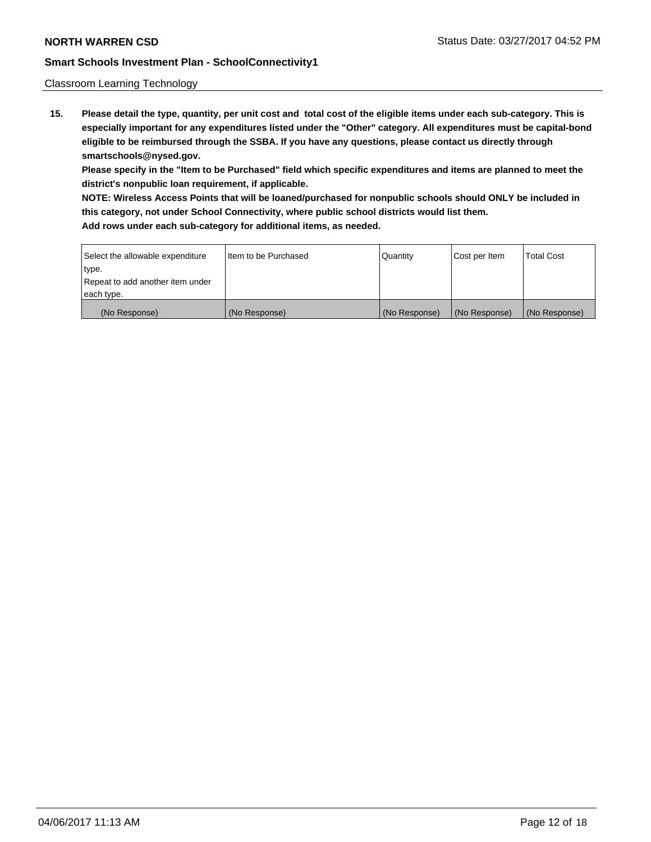#### Classroom Learning Technology

**15. Please detail the type, quantity, per unit cost and total cost of the eligible items under each sub-category. This is especially important for any expenditures listed under the "Other" category. All expenditures must be capital-bond eligible to be reimbursed through the SSBA. If you have any questions, please contact us directly through smartschools@nysed.gov.**

**Please specify in the "Item to be Purchased" field which specific expenditures and items are planned to meet the district's nonpublic loan requirement, if applicable.**

**NOTE: Wireless Access Points that will be loaned/purchased for nonpublic schools should ONLY be included in this category, not under School Connectivity, where public school districts would list them.**

| Select the allowable expenditure | I Item to be Purchased | Quantity      | Cost per Item | <b>Total Cost</b> |
|----------------------------------|------------------------|---------------|---------------|-------------------|
| type.                            |                        |               |               |                   |
| Repeat to add another item under |                        |               |               |                   |
| each type.                       |                        |               |               |                   |
| (No Response)                    | (No Response)          | (No Response) | (No Response) | (No Response)     |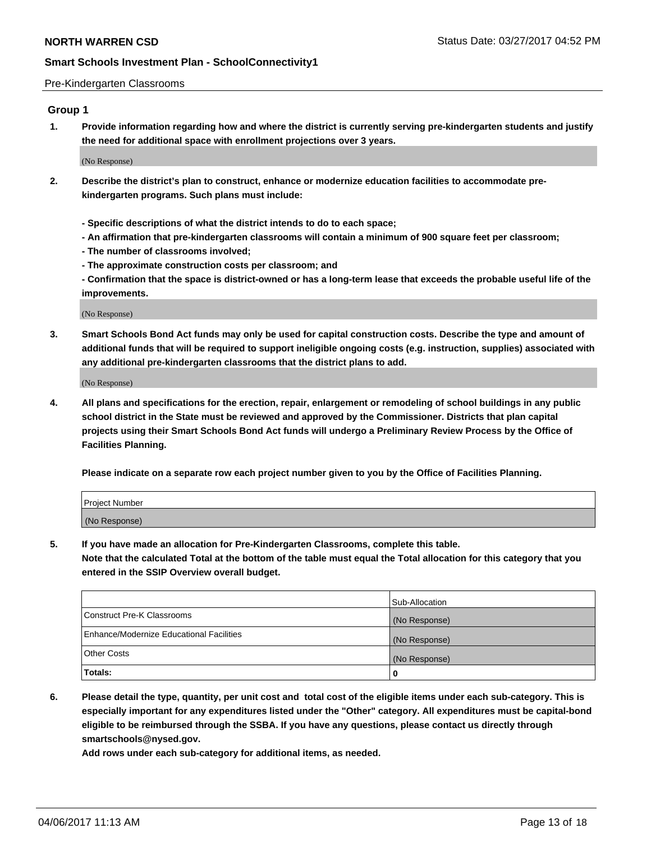#### Pre-Kindergarten Classrooms

# **Group 1**

**1. Provide information regarding how and where the district is currently serving pre-kindergarten students and justify the need for additional space with enrollment projections over 3 years.**

(No Response)

- **2. Describe the district's plan to construct, enhance or modernize education facilities to accommodate prekindergarten programs. Such plans must include:**
	- **Specific descriptions of what the district intends to do to each space;**
	- **An affirmation that pre-kindergarten classrooms will contain a minimum of 900 square feet per classroom;**
	- **The number of classrooms involved;**
	- **The approximate construction costs per classroom; and**

**- Confirmation that the space is district-owned or has a long-term lease that exceeds the probable useful life of the improvements.**

(No Response)

**3. Smart Schools Bond Act funds may only be used for capital construction costs. Describe the type and amount of additional funds that will be required to support ineligible ongoing costs (e.g. instruction, supplies) associated with any additional pre-kindergarten classrooms that the district plans to add.**

(No Response)

**4. All plans and specifications for the erection, repair, enlargement or remodeling of school buildings in any public school district in the State must be reviewed and approved by the Commissioner. Districts that plan capital projects using their Smart Schools Bond Act funds will undergo a Preliminary Review Process by the Office of Facilities Planning.**

**Please indicate on a separate row each project number given to you by the Office of Facilities Planning.**

| Project Number |  |
|----------------|--|
| (No Response)  |  |

**5. If you have made an allocation for Pre-Kindergarten Classrooms, complete this table.**

**Note that the calculated Total at the bottom of the table must equal the Total allocation for this category that you entered in the SSIP Overview overall budget.**

|                                          | Sub-Allocation |
|------------------------------------------|----------------|
| Construct Pre-K Classrooms               | (No Response)  |
| Enhance/Modernize Educational Facilities | (No Response)  |
| Other Costs                              | (No Response)  |
| Totals:                                  | 0              |

**6. Please detail the type, quantity, per unit cost and total cost of the eligible items under each sub-category. This is especially important for any expenditures listed under the "Other" category. All expenditures must be capital-bond eligible to be reimbursed through the SSBA. If you have any questions, please contact us directly through smartschools@nysed.gov.**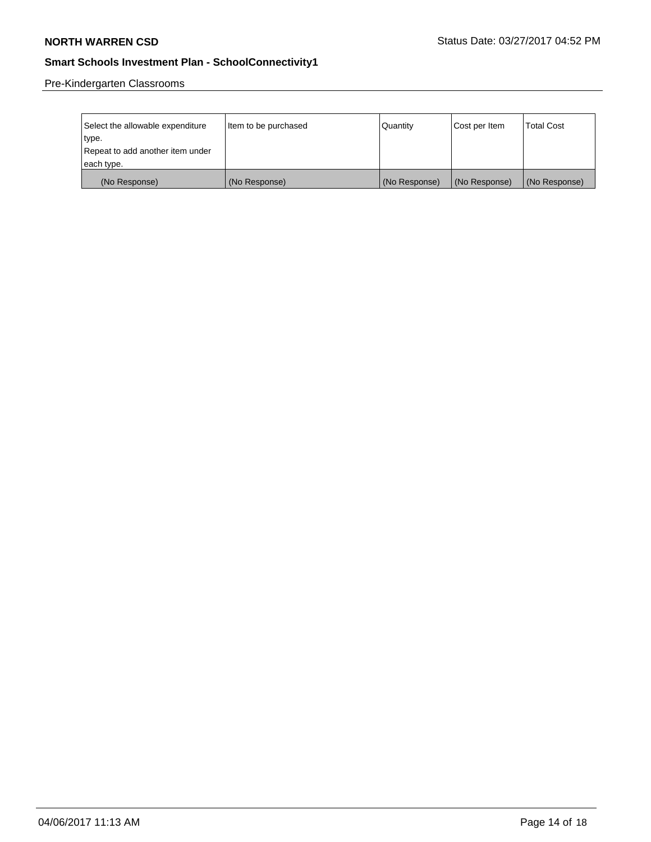Pre-Kindergarten Classrooms

| Select the allowable expenditure<br>type. | Item to be purchased | Quantity      | Cost per Item | <b>Total Cost</b> |
|-------------------------------------------|----------------------|---------------|---------------|-------------------|
| Repeat to add another item under          |                      |               |               |                   |
| each type.                                |                      |               |               |                   |
| (No Response)                             | (No Response)        | (No Response) | (No Response) | (No Response)     |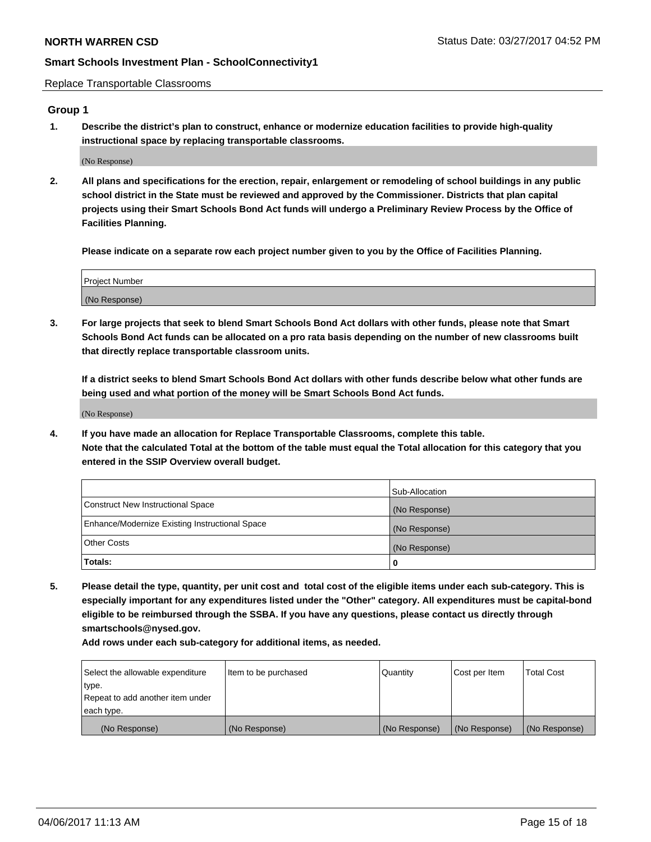Replace Transportable Classrooms

# **Group 1**

**1. Describe the district's plan to construct, enhance or modernize education facilities to provide high-quality instructional space by replacing transportable classrooms.**

(No Response)

**2. All plans and specifications for the erection, repair, enlargement or remodeling of school buildings in any public school district in the State must be reviewed and approved by the Commissioner. Districts that plan capital projects using their Smart Schools Bond Act funds will undergo a Preliminary Review Process by the Office of Facilities Planning.**

**Please indicate on a separate row each project number given to you by the Office of Facilities Planning.**

| Project Number |  |
|----------------|--|
| (No Response)  |  |

**3. For large projects that seek to blend Smart Schools Bond Act dollars with other funds, please note that Smart Schools Bond Act funds can be allocated on a pro rata basis depending on the number of new classrooms built that directly replace transportable classroom units.**

**If a district seeks to blend Smart Schools Bond Act dollars with other funds describe below what other funds are being used and what portion of the money will be Smart Schools Bond Act funds.**

(No Response)

**4. If you have made an allocation for Replace Transportable Classrooms, complete this table. Note that the calculated Total at the bottom of the table must equal the Total allocation for this category that you entered in the SSIP Overview overall budget.**

|                                                | Sub-Allocation |
|------------------------------------------------|----------------|
| Construct New Instructional Space              | (No Response)  |
| Enhance/Modernize Existing Instructional Space | (No Response)  |
| Other Costs                                    | (No Response)  |
| Totals:                                        | 0              |

**5. Please detail the type, quantity, per unit cost and total cost of the eligible items under each sub-category. This is especially important for any expenditures listed under the "Other" category. All expenditures must be capital-bond eligible to be reimbursed through the SSBA. If you have any questions, please contact us directly through smartschools@nysed.gov.**

| Select the allowable expenditure | Item to be purchased | <b>Quantity</b> | Cost per Item | <b>Total Cost</b> |
|----------------------------------|----------------------|-----------------|---------------|-------------------|
| type.                            |                      |                 |               |                   |
| Repeat to add another item under |                      |                 |               |                   |
| each type.                       |                      |                 |               |                   |
| (No Response)                    | (No Response)        | (No Response)   | (No Response) | (No Response)     |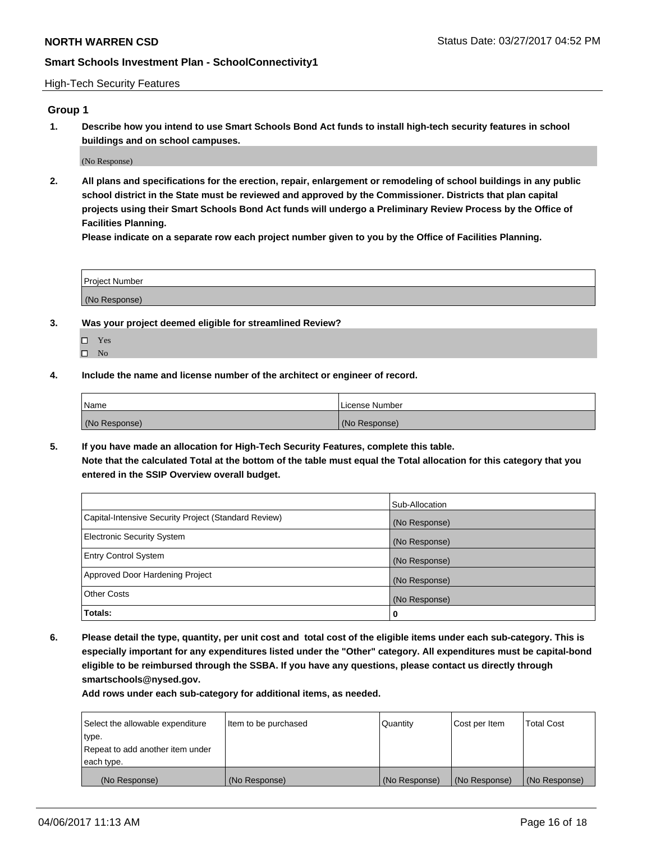High-Tech Security Features

# **Group 1**

**1. Describe how you intend to use Smart Schools Bond Act funds to install high-tech security features in school buildings and on school campuses.**

(No Response)

**2. All plans and specifications for the erection, repair, enlargement or remodeling of school buildings in any public school district in the State must be reviewed and approved by the Commissioner. Districts that plan capital projects using their Smart Schools Bond Act funds will undergo a Preliminary Review Process by the Office of Facilities Planning.** 

**Please indicate on a separate row each project number given to you by the Office of Facilities Planning.**

| <b>Project Number</b>           |  |
|---------------------------------|--|
| (No Response<br>∣ (No Response) |  |

- **3. Was your project deemed eligible for streamlined Review?**
	- Yes  $\square$  No
- **4. Include the name and license number of the architect or engineer of record.**

| <b>Name</b>   | License Number |
|---------------|----------------|
| (No Response) | (No Response)  |

**5. If you have made an allocation for High-Tech Security Features, complete this table. Note that the calculated Total at the bottom of the table must equal the Total allocation for this category that you entered in the SSIP Overview overall budget.**

|                                                      | Sub-Allocation |
|------------------------------------------------------|----------------|
| Capital-Intensive Security Project (Standard Review) | (No Response)  |
| <b>Electronic Security System</b>                    | (No Response)  |
| <b>Entry Control System</b>                          | (No Response)  |
| Approved Door Hardening Project                      | (No Response)  |
| <b>Other Costs</b>                                   | (No Response)  |
| Totals:                                              | 0              |

**6. Please detail the type, quantity, per unit cost and total cost of the eligible items under each sub-category. This is especially important for any expenditures listed under the "Other" category. All expenditures must be capital-bond eligible to be reimbursed through the SSBA. If you have any questions, please contact us directly through smartschools@nysed.gov.**

| Select the allowable expenditure | Item to be purchased | Quantity      | Cost per Item | <b>Total Cost</b> |
|----------------------------------|----------------------|---------------|---------------|-------------------|
| type.                            |                      |               |               |                   |
| Repeat to add another item under |                      |               |               |                   |
| each type.                       |                      |               |               |                   |
| (No Response)                    | (No Response)        | (No Response) | (No Response) | (No Response)     |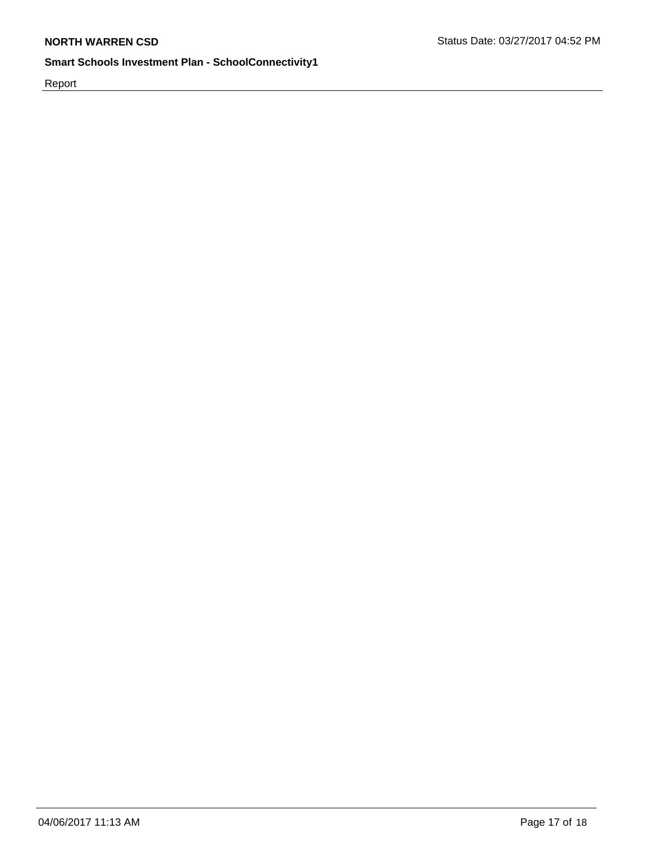Report